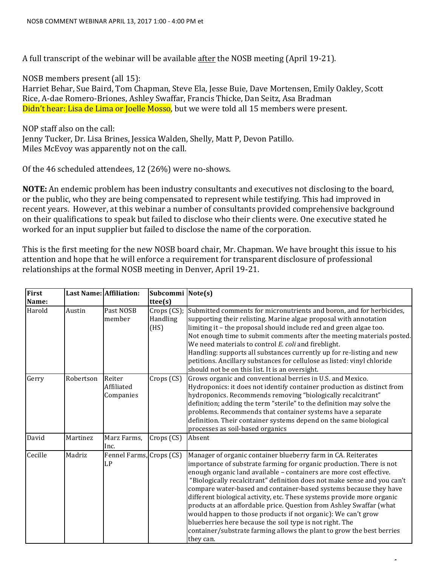A full transcript of the webinar will be available after the NOSB meeting (April 19-21).

NOSB members present (all 15):

Harriet Behar, Sue Baird, Tom Chapman, Steve Ela, Jesse Buie, Dave Mortensen, Emily Oakley, Scott Rice, A-dae Romero-Briones, Ashley Swaffar, Francis Thicke, Dan Seitz, Asa Bradman Didn't hear: Lisa de Lima or Joelle Mosso, but we were told all 15 members were present.

NOP staff also on the call: Jenny Tucker, Dr. Lisa Brines, Jessica Walden, Shelly, Matt P, Devon Patillo. Miles McEvoy was apparently not on the call.

Of the 46 scheduled attendees, 12 (26%) were no-shows.

**NOTE:** An endemic problem has been industry consultants and executives not disclosing to the board, or the public, who they are being compensated to represent while testifying. This had improved in recent years. However, at this webinar a number of consultants provided comprehensive background on their qualifications to speak but failed to disclose who their clients were. One executive stated he worked for an input supplier but failed to disclose the name of the corporation.

This is the first meeting for the new NOSB board chair, Mr. Chapman. We have brought this issue to his attention and hope that he will enforce a requirement for transparent disclosure of professional relationships at the formal NOSB meeting in Denver, April 19-21.

| First   | <b>Last Name: Affiliation:</b> |                                   | Subcommi Note(s)                |                                                                                                                                                                                                                                                                                                                                                                                                                                                                                                                                                                                                                                                                                                                                   |
|---------|--------------------------------|-----------------------------------|---------------------------------|-----------------------------------------------------------------------------------------------------------------------------------------------------------------------------------------------------------------------------------------------------------------------------------------------------------------------------------------------------------------------------------------------------------------------------------------------------------------------------------------------------------------------------------------------------------------------------------------------------------------------------------------------------------------------------------------------------------------------------------|
| Name:   |                                |                                   | ttee(s)                         |                                                                                                                                                                                                                                                                                                                                                                                                                                                                                                                                                                                                                                                                                                                                   |
| Harold  | Austin                         | Past NOSB<br>member               | Crops (CS);<br>Handling<br>(HS) | Submitted comments for micronutrients and boron, and for herbicides,<br>supporting their relisting. Marine algae proposal with annotation<br>limiting it - the proposal should include red and green algae too.<br>Not enough time to submit comments after the meeting materials posted.<br>We need materials to control E. coli and fireblight.<br>Handling: supports all substances currently up for re-listing and new<br>petitions. Ancillary substances for cellulose as listed: vinyl chloride<br>should not be on this list. It is an oversight.                                                                                                                                                                          |
| Gerry   | Robertson                      | Reiter<br>Affiliated<br>Companies | Crops (CS)                      | Grows organic and conventional berries in U.S. and Mexico.<br>Hydroponics: it does not identify container production as distinct from<br>hydroponics. Recommends removing "biologically recalcitrant"<br>definition; adding the term "sterile" to the definition may solve the<br>problems. Recommends that container systems have a separate<br>definition. Their container systems depend on the same biological<br>processes as soil-based organics                                                                                                                                                                                                                                                                            |
| David   | Martinez                       | Marz Farms,<br>Inc.               | Crops (CS)                      | Absent                                                                                                                                                                                                                                                                                                                                                                                                                                                                                                                                                                                                                                                                                                                            |
| Cecille | Madriz                         | Fennel Farms, Crops (CS)<br>LP    |                                 | Manager of organic container blueberry farm in CA. Reiterates<br>importance of substrate farming for organic production. There is not<br>enough organic land available - containers are more cost effective.<br>"Biologically recalcitrant" definition does not make sense and you can't<br>compare water-based and container-based systems because they have<br>different biological activity, etc. These systems provide more organic<br>products at an affordable price. Question from Ashley Swaffar (what<br>would happen to those products if not organic): We can't grow<br>blueberries here because the soil type is not right. The<br>container/substrate farming allows the plant to grow the best berries<br>they can. |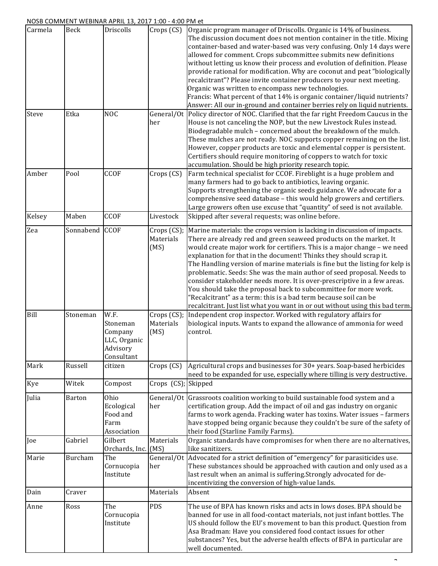| Carmela    | <b>Beck</b>    | Driscolls                                                             | Crops (CS)                       | Organic program manager of Driscolls. Organic is 14% of business.<br>The discussion document does not mention container in the title. Mixing<br>container-based and water-based was very confusing. Only 14 days were<br>allowed for comment. Crops subcommittee submits new definitions<br>without letting us know their process and evolution of definition. Please<br>provide rational for modification. Why are coconut and peat "biologically<br>recalcitrant"? Please invite container producers to your next meeting.<br>Organic was written to encompass new technologies.<br>Francis: What percent of that 14% is organic container/liquid nutrients?<br>Answer: All our in-ground and container berries rely on liquid nutrients.                    |
|------------|----------------|-----------------------------------------------------------------------|----------------------------------|----------------------------------------------------------------------------------------------------------------------------------------------------------------------------------------------------------------------------------------------------------------------------------------------------------------------------------------------------------------------------------------------------------------------------------------------------------------------------------------------------------------------------------------------------------------------------------------------------------------------------------------------------------------------------------------------------------------------------------------------------------------|
| Steve      | Etka           | <b>NOC</b>                                                            | her                              | General/Ot Policy director of NOC. Clarified that the far right Freedom Caucus in the<br>House is not canceling the NOP, but the new Livestock Rules instead.<br>Biodegradable mulch - concerned about the breakdown of the mulch.<br>These mulches are not ready. NOC supports copper remaining on the list.<br>However, copper products are toxic and elemental copper is persistent.<br>Certifiers should require monitoring of coppers to watch for toxic<br>accumulation. Should be high priority research topic.                                                                                                                                                                                                                                         |
| Amber      | Pool           | CCOF                                                                  | Crops (CS)                       | Farm technical specialist for CCOF. Fireblight is a huge problem and<br>many farmers had to go back to antibiotics, leaving organic.<br>Supports strengthening the organic seeds guidance. We advocate for a<br>comprehensive seed database - this would help growers and certifiers.<br>Large growers often use excuse that "quantity" of seed is not available.                                                                                                                                                                                                                                                                                                                                                                                              |
| Kelsey     | Maben          | <b>CCOF</b>                                                           | Livestock                        | Skipped after several requests; was online before.                                                                                                                                                                                                                                                                                                                                                                                                                                                                                                                                                                                                                                                                                                             |
| Zea        | Sonnabend CCOF |                                                                       | Crops (CS);<br>Materials<br>(MS) | Marine materials: the crops version is lacking in discussion of impacts.<br>There are already red and green seaweed products on the market. It<br>would create major work for certifiers. This is a major change - we need<br>explanation for that in the document! Thinks they should scrap it.<br>The Handling version of marine materials is fine but the listing for kelp is<br>problematic. Seeds: She was the main author of seed proposal. Needs to<br>consider stakeholder needs more. It is over-prescriptive in a few areas.<br>You should take the proposal back to subcommittee for more work.<br>"Recalcitrant" as a term: this is a bad term because soil can be<br>recalcitrant. Just list what you want in or out without using this bad term. |
| Bill       | Stoneman       | W.F.<br>Stoneman<br>Company<br>LLC, Organic<br>Advisory<br>Consultant | Crops (CS);<br>Materials<br>(MS) | Independent crop inspector. Worked with regulatory affairs for<br>biological inputs. Wants to expand the allowance of ammonia for weed<br>control.                                                                                                                                                                                                                                                                                                                                                                                                                                                                                                                                                                                                             |
| Mark       | Russell        | citizen                                                               | Crops (CS)                       | Agricultural crops and businesses for 30+ years. Soap-based herbicides<br>need to be expanded for use, especially where tilling is very destructive.                                                                                                                                                                                                                                                                                                                                                                                                                                                                                                                                                                                                           |
| <b>Kye</b> | Witek          | Compost                                                               | Crops (CS); Skipped              |                                                                                                                                                                                                                                                                                                                                                                                                                                                                                                                                                                                                                                                                                                                                                                |
| Julia      | Barton         | Ohio<br>Ecological<br>Food and<br>Farm<br>Association                 | her                              | General/Ot Grassroots coalition working to build sustainable food system and a<br>certification group. Add the impact of oil and gas industry on organic<br>farms to work agenda. Fracking water has toxins. Water issues - farmers<br>have stopped being organic because they couldn't be sure of the safety of<br>their food (Starline Family Farms).                                                                                                                                                                                                                                                                                                                                                                                                        |
| Joe        | Gabriel        | Gilbert<br>Orchards, Inc.                                             | Materials<br>(MS)                | Organic standards have compromises for when there are no alternatives,<br>like sanitizers.                                                                                                                                                                                                                                                                                                                                                                                                                                                                                                                                                                                                                                                                     |
| Marie      | Burcham        | The<br>Cornucopia<br>Institute                                        | her                              | General/Ot Advocated for a strict definition of "emergency" for parasiticides use.<br>These substances should be approached with caution and only used as a<br>last result when an animal is suffering.Strongly advocated for de-<br>incentivizing the conversion of high-value lands.                                                                                                                                                                                                                                                                                                                                                                                                                                                                         |
| Dain       | Craver         |                                                                       | Materials                        | Absent                                                                                                                                                                                                                                                                                                                                                                                                                                                                                                                                                                                                                                                                                                                                                         |
| Anne       | Ross           | The<br>Cornucopia<br>Institute                                        | PDS                              | The use of BPA has known risks and acts in lows doses. BPA should be<br>banned for use in all food-contact materials, not just infant bottles. The<br>US should follow the EU's movement to ban this product. Question from<br>Asa Bradman: Have you considered food contact issues for other<br>substances? Yes, but the adverse health effects of BPA in particular are<br>well documented.                                                                                                                                                                                                                                                                                                                                                                  |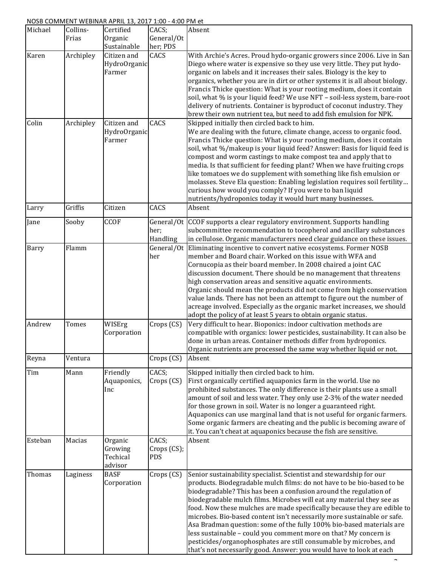## NOSB COMMENT WEBINAR APRIL 13, 2017 1:00 - 4:00 PM et

| Michael | Collins-<br>Frias | Certified<br>Organic<br>Sustainable       | CACS;<br>General/Ot<br>her; PDS | Absent                                                                                                                                                                                                                                                                                                                                                                                                                                                                                                                                                                                                                                                                                                                                     |
|---------|-------------------|-------------------------------------------|---------------------------------|--------------------------------------------------------------------------------------------------------------------------------------------------------------------------------------------------------------------------------------------------------------------------------------------------------------------------------------------------------------------------------------------------------------------------------------------------------------------------------------------------------------------------------------------------------------------------------------------------------------------------------------------------------------------------------------------------------------------------------------------|
| Karen   | Archipley         | Citizen and<br>HydroOrganic<br>Farmer     | CACS                            | With Archie's Acres. Proud hydo-organic growers since 2006. Live in San<br>Diego where water is expensive so they use very little. They put hydo-<br>organic on labels and it increases their sales. Biology is the key to<br>organics, whether you are in dirt or other systems it is all about biology.<br>Francis Thicke question: What is your rooting medium, does it contain<br>soil, what % is your liquid feed? We use NFT - soil-less system, bare-root<br>delivery of nutrients. Container is byproduct of coconut industry. They<br>brew their own nutrient tea, but need to add fish emulsion for NPK.                                                                                                                         |
| Colin   | Archipley         | Citizen and<br>HydroOrganic<br>Farmer     | CACS                            | Skipped initially then circled back to him.<br>We are dealing with the future, climate change, access to organic food.<br>Francis Thicke question: What is your rooting medium, does it contain<br>soil, what %/makeup is your liquid feed? Answer: Basis for liquid feed is<br>compost and worm castings to make compost tea and apply that to<br>media. Is that sufficient for feeding plant? When we have fruiting crops<br>like tomatoes we do supplement with something like fish emulsion or<br>molasses. Steve Ela question: Enabling legislation requires soil fertility<br>curious how would you comply? If you were to ban liquid<br>nutrients/hydroponics today it would hurt many businesses.                                  |
| Larry   | Griffis           | Citizen                                   | CACS                            | Absent                                                                                                                                                                                                                                                                                                                                                                                                                                                                                                                                                                                                                                                                                                                                     |
| Jane    | Sooby             | <b>CCOF</b>                               | her;<br>Handling                | General/Ot CCOF supports a clear regulatory environment. Supports handling<br>subcommittee recommendation to tocopherol and ancillary substances<br>in cellulose. Organic manufacturers need clear guidance on these issues.                                                                                                                                                                                                                                                                                                                                                                                                                                                                                                               |
| Barry   | Flamm             |                                           | her                             | General/Ot Eliminating incentive to convert native ecosystems. Former NOSB<br>member and Board chair. Worked on this issue with WFA and<br>Cornucopia as their board member. In 2008 chaired a joint CAC<br>discussion document. There should be no management that threatens<br>high conservation areas and sensitive aquatic environments.<br>Organic should mean the products did not come from high conservation<br>value lands. There has not been an attempt to figure out the number of<br>acreage involved. Especially as the organic market increases, we should<br>adopt the policy of at least 5 years to obtain organic status.                                                                                                |
| Andrew  | Tomes             | WISErg<br>Corporation                     | Crops (CS)                      | Very difficult to hear. Bioponics: indoor cultivation methods are<br>compatible with organics: lower pesticides, sustainability. It can also be<br>done in urban areas. Container methods differ from hydroponics.<br>Organic nutrients are processed the same way whether liquid or not.                                                                                                                                                                                                                                                                                                                                                                                                                                                  |
| Reyna   | Ventura           |                                           | Crops (CS)                      | Absent                                                                                                                                                                                                                                                                                                                                                                                                                                                                                                                                                                                                                                                                                                                                     |
| Tim     | Mann              | Friendly<br>Aquaponics,<br>Inc            | CACS;<br>Crops (CS)             | Skipped initially then circled back to him.<br>First organically certified aquaponics farm in the world. Use no<br>prohibited substances. The only difference is their plants use a small<br>amount of soil and less water. They only use 2-3% of the water needed<br>for those grown in soil. Water is no longer a guaranteed right.<br>Aquaponics can use marginal land that is not useful for organic farmers.<br>Some organic farmers are cheating and the public is becoming aware of<br>it. You can't cheat at aquaponics because the fish are sensitive.                                                                                                                                                                            |
| Esteban | Macias            | Organic<br>Growing<br>Techical<br>advisor | CACS;<br>Crops (CS);<br>PDS     | Absent                                                                                                                                                                                                                                                                                                                                                                                                                                                                                                                                                                                                                                                                                                                                     |
| Thomas  | Laginess          | <b>BASF</b><br>Corporation                | Crops (CS)                      | Senior sustainability specialist. Scientist and stewardship for our<br>products. Biodegradable mulch films: do not have to be bio-based to be<br>biodegradable? This has been a confusion around the regulation of<br>biodegradable mulch films. Microbes will eat any material they see as<br>food. Now these mulches are made specifically because they are edible to<br>microbes. Bio-based content isn't necessarily more sustainable or safe.<br>Asa Bradman question: some of the fully 100% bio-based materials are<br>less sustainable - could you comment more on that? My concern is<br>pesticides/organophosphates are still consumable by microbes, and<br>that's not necessarily good. Answer: you would have to look at each |

ī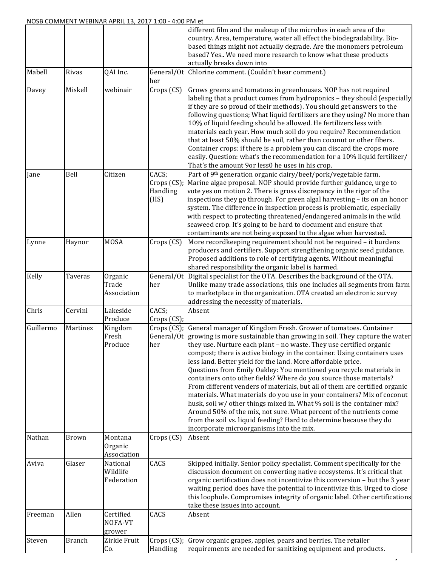|                     |                   |                                        |                                          | different film and the makeup of the microbes in each area of the<br>country. Area, temperature, water all effect the biodegradability. Bio-<br>based things might not actually degrade. Are the monomers petroleum<br>based? Yes We need more research to know what these products<br>actually breaks down into                                                                                                                                                                                                                                                                                                                                                                                                                                                                                                                                                                                                                                                          |
|---------------------|-------------------|----------------------------------------|------------------------------------------|---------------------------------------------------------------------------------------------------------------------------------------------------------------------------------------------------------------------------------------------------------------------------------------------------------------------------------------------------------------------------------------------------------------------------------------------------------------------------------------------------------------------------------------------------------------------------------------------------------------------------------------------------------------------------------------------------------------------------------------------------------------------------------------------------------------------------------------------------------------------------------------------------------------------------------------------------------------------------|
| Mabell              | Rivas             | QAI Inc.                               | her                                      | General/Ot Chlorine comment. (Couldn't hear comment.)                                                                                                                                                                                                                                                                                                                                                                                                                                                                                                                                                                                                                                                                                                                                                                                                                                                                                                                     |
| Davey               | Miskell           | webinair                               | Crops (CS)                               | Grows greens and tomatoes in greenhouses. NOP has not required<br>labeling that a product comes from hydroponics - they should (especially<br>if they are so proud of their methods). You should get answers to the<br>following questions; What liquid fertilizers are they using? No more than<br>10% of liquid feeding should be allowed. He fertilizers less with<br>materials each year. How much soil do you require? Recommendation<br>that at least 50% should be soil, rather than coconut or other fibers.<br>Container crops: if there is a problem you can discard the crops more<br>easily. Question: what's the recommendation for a 10% liquid fertilizer/<br>That's the amount 9or less0 he uses in his crop.                                                                                                                                                                                                                                             |
| Jane                | Bell              | Citizen                                | CACS;<br>Crops (CS);<br>Handling<br>(HS) | Part of 9th generation organic dairy/beef/pork/vegetable farm.<br>Marine algae proposal. NOP should provide further guidance, urge to<br>vote yes on motion 2. There is gross discrepancy in the rigor of the<br>inspections they go through. For green algal harvesting - its on an honor<br>system. The difference in inspection process is problematic, especially<br>with respect to protecting threatened/endangered animals in the wild<br>seaweed crop. It's going to be hard to document and ensure that<br>contaminants are not being exposed to the algae when harvested.                                                                                                                                                                                                                                                                                                                                                                                       |
| Lynne               | Haynor            | <b>MOSA</b>                            | Crops (CS)                               | More recordkeeping requirement should not be required - it burdens<br>producers and certifiers. Support strengthening organic seed guidance.<br>Proposed additions to role of certifying agents. Without meaningful<br>shared responsibility the organic label is harmed.                                                                                                                                                                                                                                                                                                                                                                                                                                                                                                                                                                                                                                                                                                 |
| Kelly               | Taveras           | Organic<br>Trade<br>Association        | her                                      | General/Ot Digital specialist for the OTA. Describes the background of the OTA.<br>Unlike many trade associations, this one includes all segments from farm<br>to marketplace in the organization. OTA created an electronic survey<br>addressing the necessity of materials.                                                                                                                                                                                                                                                                                                                                                                                                                                                                                                                                                                                                                                                                                             |
| Chris               | Cervini           | Lakeside<br>Produce                    | CACS;<br>Crops (CS);                     | Absent                                                                                                                                                                                                                                                                                                                                                                                                                                                                                                                                                                                                                                                                                                                                                                                                                                                                                                                                                                    |
| Guillermo<br>Nathan | Martinez<br>Brown | Kingdom<br>Fresh<br>Produce<br>Montana | her<br>Crops (CS)                        | Crops (CS); General manager of Kingdom Fresh. Grower of tomatoes. Container<br>General/Ot growing is more sustainable than growing in soil. They capture the water<br>they use. Nurture each plant - no waste. They use certified organic<br>compost; there is active biology in the container. Using containers uses<br>less land. Better yield for the land. More affordable price.<br>Questions from Emily Oakley: You mentioned you recycle materials in<br>containers onto other fields? Where do you source those materials?<br>From different venders of materials, but all of them are certified organic<br>materials. What materials do you use in your containers? Mix of coconut<br>husk, soil w/ other things mixed in. What % soil is the container mix?<br>Around 50% of the mix, not sure. What percent of the nutrients come<br>from the soil vs. liquid feeding? Hard to determine because they do<br>incorporate microorganisms into the mix.<br>Absent |
|                     |                   | Organic<br>Association                 |                                          |                                                                                                                                                                                                                                                                                                                                                                                                                                                                                                                                                                                                                                                                                                                                                                                                                                                                                                                                                                           |
| Aviva               | Glaser            | National<br>Wildlife<br>Federation     | CACS                                     | Skipped initially. Senior policy specialist. Comment specifically for the<br>discussion document on converting native ecosystems. It's critical that<br>organic certification does not incentivize this conversion - but the 3 year<br>waiting period does have the potential to incentivize this. Urged to close<br>this loophole. Compromises integrity of organic label. Other certifications<br>take these issues into account.                                                                                                                                                                                                                                                                                                                                                                                                                                                                                                                                       |
| Freeman             | Allen             | Certified<br>NOFA-VT<br>grower         | CACS                                     | Absent                                                                                                                                                                                                                                                                                                                                                                                                                                                                                                                                                                                                                                                                                                                                                                                                                                                                                                                                                                    |
| Steven              | <b>Branch</b>     | Zirkle Fruit<br>Co.                    | Handling                                 | Crops (CS); Grow organic grapes, apples, pears and berries. The retailer<br>requirements are needed for sanitizing equipment and products.                                                                                                                                                                                                                                                                                                                                                                                                                                                                                                                                                                                                                                                                                                                                                                                                                                |

4